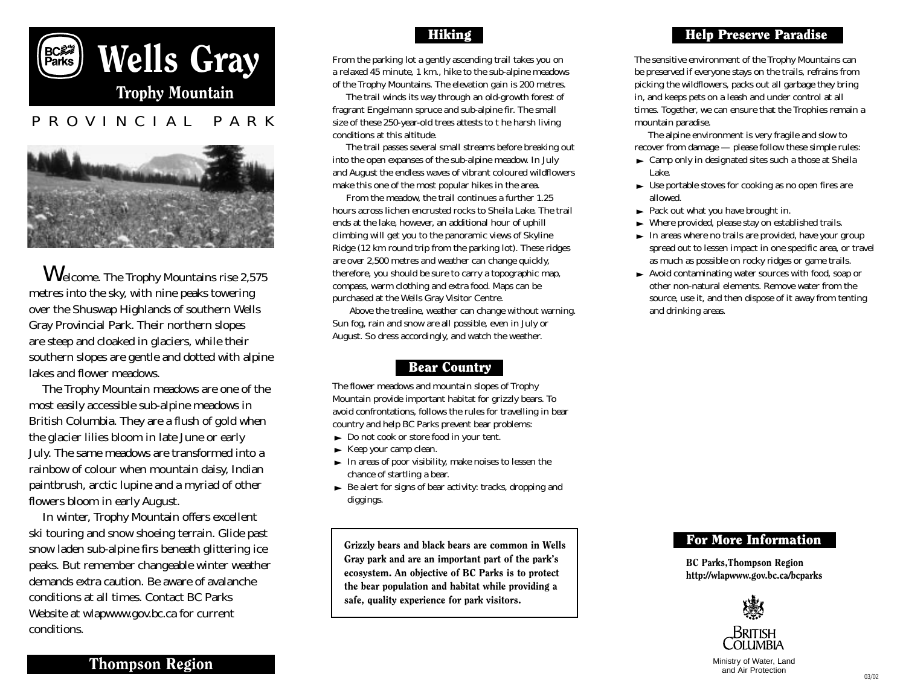



Welcome. The Trophy Mountains rise 2,575 metres into the sky, with nine peaks towering over the Shuswap Highlands of southern Wells Gray Provincial Park. Their northern slopes are steep and cloaked in glaciers, while their southern slopes are gentle and dotted with alpine lakes and flower meadows.

The Trophy Mountain meadows are one of the most easily accessible sub-alpine meadows in British Columbia. They are a flush of gold when the glacier lilies bloom in late June or early July. The same meadows are transformed into a rainbow of colour when mountain daisy, Indian paintbrush, arctic lupine and a myriad of other flowers bloom in early August.

In winter, Trophy Mountain offers excellent ski touring and snow shoeing terrain. Glide past snow laden sub-alpine firs beneath glittering ice peaks. But remember changeable winter weather demands extra caution. Be aware of avalanche conditions at all times. Contact BC Parks Website at wlapwww.gov.bc.ca for current conditions.

Hiking

From the parking lot a gently ascending trail takes you on a relaxed 45 minute, 1 km., hike to the sub-alpine meadows of the Trophy Mountains. The elevation gain is 200 metres.

The trail winds its way through an old-growth forest of fragrant Engelmann spruce and sub-alpine fir. The small size of these 250-year-old trees attests to t he harsh living conditions at this altitude.

The trail passes several small streams before breaking out into the open expanses of the sub-alpine meadow. In July and August the endless waves of vibrant coloured wildflowers make this one of the most popular hikes in the area.

From the meadow, the trail continues a further 1.25 hours across lichen encrusted rocks to Sheila Lake. The trail ends at the lake, however, an additional hour of uphill climbing will get you to the panoramic views of Skyline Ridge (12 km round trip from the parking lot). These ridges are over 2,500 metres and weather can change quickly, therefore, you should be sure to carry a topographic map, compass, warm clothing and extra food. Maps can be purchased at the Wells Gray Visitor Centre.

Above the treeline, weather can change without warning. Sun fog, rain and snow are all possible, even in July or August. So dress accordingly, and watch the weather.

## Bear Country

The flower meadows and mountain slopes of Trophy Mountain provide important habitat for grizzly bears. To avoid confrontations, follows the rules for travelling in bear country and help BC Parks prevent bear problems:

- $\blacktriangleright$  Do not cook or store food in your tent.
- $\blacktriangleright$  Keep your camp clean.
- $\blacktriangleright$  In areas of poor visibility, make noises to lessen the chance of startling a bear.
- $\blacktriangleright$  Be alert for signs of bear activity: tracks, dropping and diggings.

Grizzly bears and black bears are common in Wells Gray park and are an important part of the park's ecosystem. An objective of BC Parks is to protect the bear population and habitat while providing a safe, quality experience for park visitors.

## Help Preserve Paradise

The sensitive environment of the Trophy Mountains can be preserved if everyone stays on the trails, refrains from picking the wildflowers, packs out all garbage they bring in, and keeps pets on a leash and under control at all times. Together, we can ensure that the Trophies remain a mountain paradise.

The alpine environment is very fragile and slow to recover from damage — please follow these simple rules:

- $\blacktriangleright$  Camp only in designated sites such a those at Sheila Lake.
- $\blacktriangleright$  Use portable stoves for cooking as no open fires are allowed.
- $\blacktriangleright$  Pack out what you have brought in.
- $\blacktriangleright$  Where provided, please stay on established trails.
- $\blacktriangleright$  In areas where no trails are provided, have your group spread out to lessen impact in one specific area, or travel as much as possible on rocky ridges or game trails.
- $\blacktriangleright$  Avoid contaminating water sources with food, soap or other non-natural elements. Remove water from the source, use it, and then dispose of it away from tenting and drinking areas.

## For More Information

BC Parks,Thompson Region http://wlapwww.gov.bc.ca/bcparks



Ministry of Water, Land and Air Protection

Thompson Region